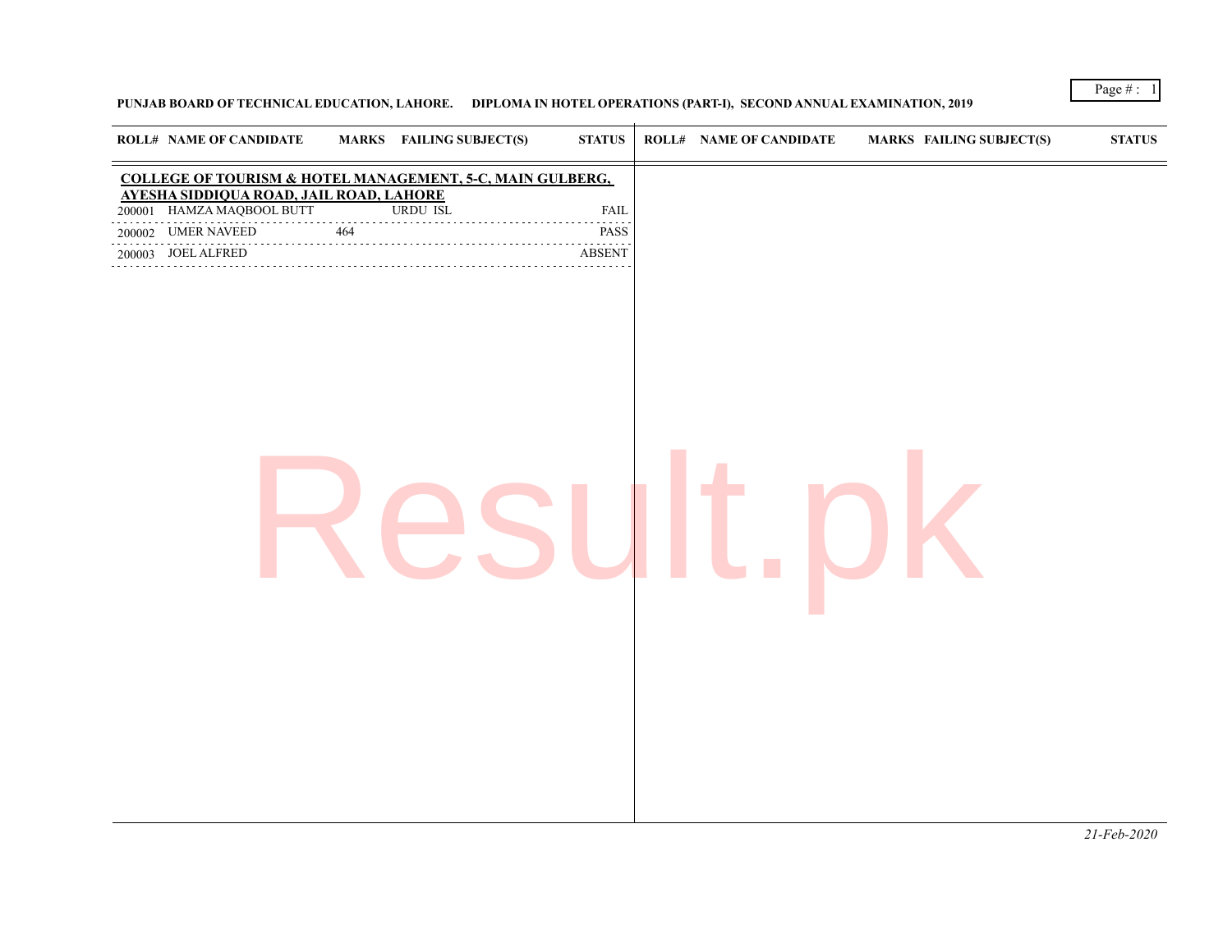## **PUNJAB BOARD OF TECHNICAL EDUCATION, LAHORE. DIPLOMA IN HOTEL OPERATIONS (PART-I), SECOND ANNUAL EXAMINATION, 2019**

| <b>ROLL# NAME OF CANDIDATE</b>                                       | <b>MARKS</b> FAILING SUBJECT(S) | <b>STATUS</b> | <b>ROLL# NAME OF CANDIDATE</b> | <b>MARKS FAILING SUBJECT(S)</b> | <b>STATUS</b> |
|----------------------------------------------------------------------|---------------------------------|---------------|--------------------------------|---------------------------------|---------------|
| COLLEGE OF TOURISM & HOTEL MANAGEMENT, 5-C, MAIN GULBERG,            |                                 |               |                                |                                 |               |
| AYESHA SIDDIQUA ROAD, JAIL ROAD, LAHORE<br>200001 HAMZA MAQBOOL BUTT | <b>URDU ISL</b>                 | <b>FAIL</b>   |                                |                                 |               |
| 200002 UMER NAVEED 464 PASS                                          |                                 | PASS          |                                |                                 |               |
| 200003 JOEL ALFRED                                                   |                                 | <b>ABSENT</b> |                                |                                 |               |
|                                                                      |                                 |               |                                |                                 |               |

*21-Feb-2020*

Page # : 1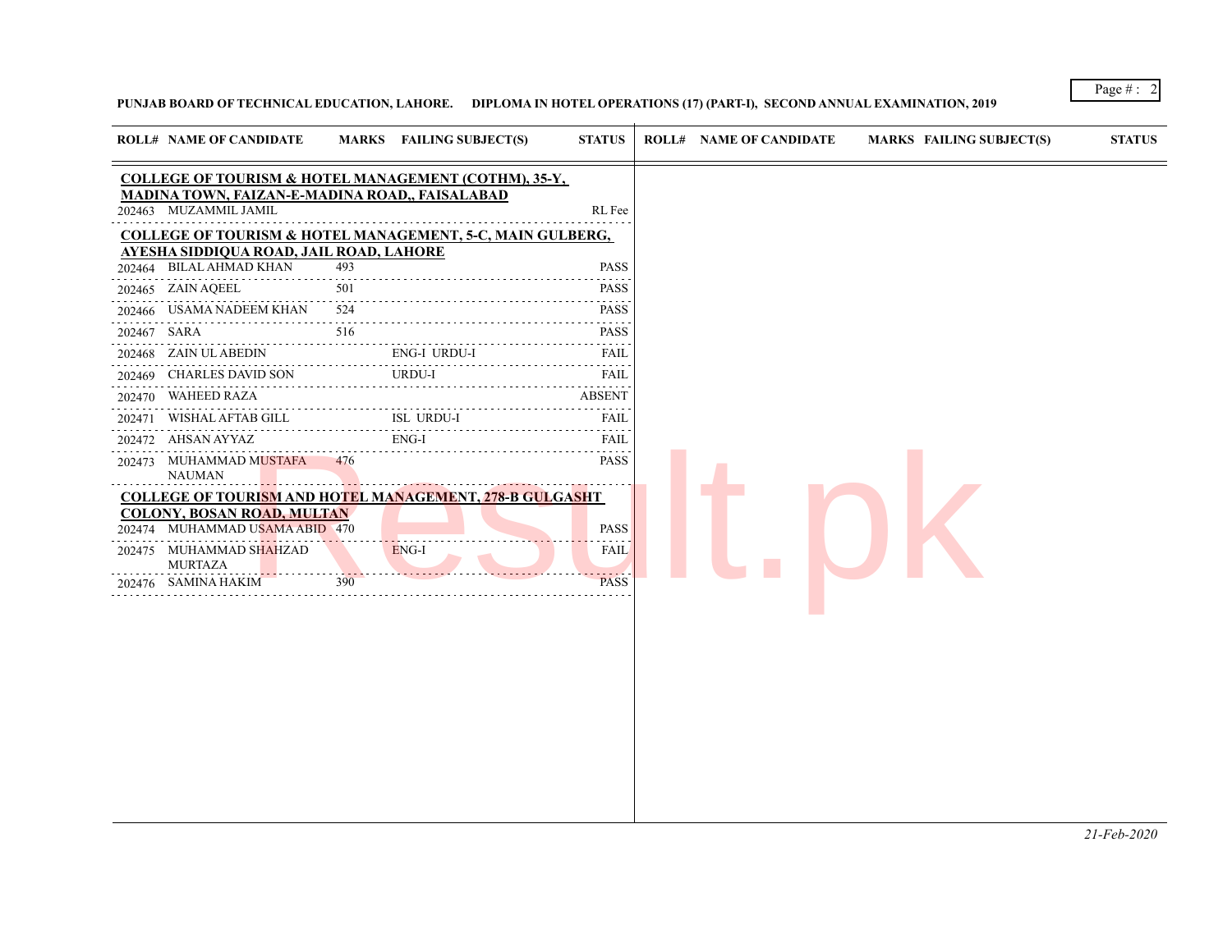## **PUNJAB BOARD OF TECHNICAL EDUCATION, LAHORE. DIPLOMA IN HOTEL OPERATIONS (17) (PART-I), SECOND ANNUAL EXAMINATION, 2019**

|        | <b>ROLL# NAME OF CANDIDATE</b>                                                 |     | MARKS FAILING SUBJECT(S)                                        | <b>STATUS</b> | <b>ROLL# NAME OF CANDIDATE</b> | <b>MARKS FAILING SUBJECT(S)</b> | <b>STATUS</b> |
|--------|--------------------------------------------------------------------------------|-----|-----------------------------------------------------------------|---------------|--------------------------------|---------------------------------|---------------|
|        |                                                                                |     | <b>COLLEGE OF TOURISM &amp; HOTEL MANAGEMENT (COTHM), 35-Y,</b> |               |                                |                                 |               |
|        | <b>MADINA TOWN, FAIZAN-E-MADINA ROAD,, FAISALABAD</b><br>202463 MUZAMMIL JAMIL |     |                                                                 | RL Fee        |                                |                                 |               |
|        |                                                                                |     | COLLEGE OF TOURISM & HOTEL MANAGEMENT, 5-C, MAIN GULBERG,       |               |                                |                                 |               |
|        | AYESHA SIDDIQUA ROAD, JAIL ROAD, LAHORE                                        |     |                                                                 |               |                                |                                 |               |
|        | 202464 BILAL AHMAD KHAN                                                        | 493 |                                                                 | <b>PASS</b>   |                                |                                 |               |
|        | 202465 ZAIN AQEEL                                                              | 501 |                                                                 | <b>PASS</b>   |                                |                                 |               |
|        | 202466 USAMA NADEEM KHAN                                                       | 524 |                                                                 | <b>PASS</b>   |                                |                                 |               |
|        | 202467 SARA                                                                    | 516 |                                                                 | <b>PASS</b>   |                                |                                 |               |
|        | 202468 ZAIN UL ABEDIN                                                          |     | <b>ENG-I URDU-I</b>                                             |               |                                |                                 |               |
|        | 202469 CHARLES DAVID SON                                                       |     | <b>URDU-I</b>                                                   | <b>FAIL</b>   |                                |                                 |               |
| 202470 | <b>WAHEED RAZA</b>                                                             |     |                                                                 | <b>ABSENT</b> |                                |                                 |               |
| 202471 | WISHAL AFTAB GILL                                                              |     | <b>ISL URDU-I</b>                                               |               |                                |                                 |               |
| 202472 | AHSAN AYYAZ                                                                    |     | ENG-I                                                           | <b>FAIL</b>   |                                |                                 |               |
|        | 202473 MUHAMMAD MUSTAFA 476<br><b>NAUMAN</b>                                   |     |                                                                 | <b>PASS</b>   |                                |                                 |               |
|        |                                                                                |     | <b>COLLEGE OF TOURISM AND HOTEL MANAGEMENT, 278-B GULGASHT</b>  |               |                                |                                 |               |
| 202474 | <u>COLONY, BOSAN ROAD, MULTAN</u><br>MUHAMMAD USAMA ABID 470                   |     |                                                                 | <b>PASS</b>   |                                |                                 |               |
| 202475 | MUHAMMAD SHAHZAD<br><b>MURTAZA</b>                                             |     | ENG-I                                                           | <b>FAIL</b>   |                                |                                 |               |
| 202476 | SAMINA HAKIM                                                                   | 390 |                                                                 | <b>PASS</b>   |                                |                                 |               |

Page # : 2

*21-Feb-2020*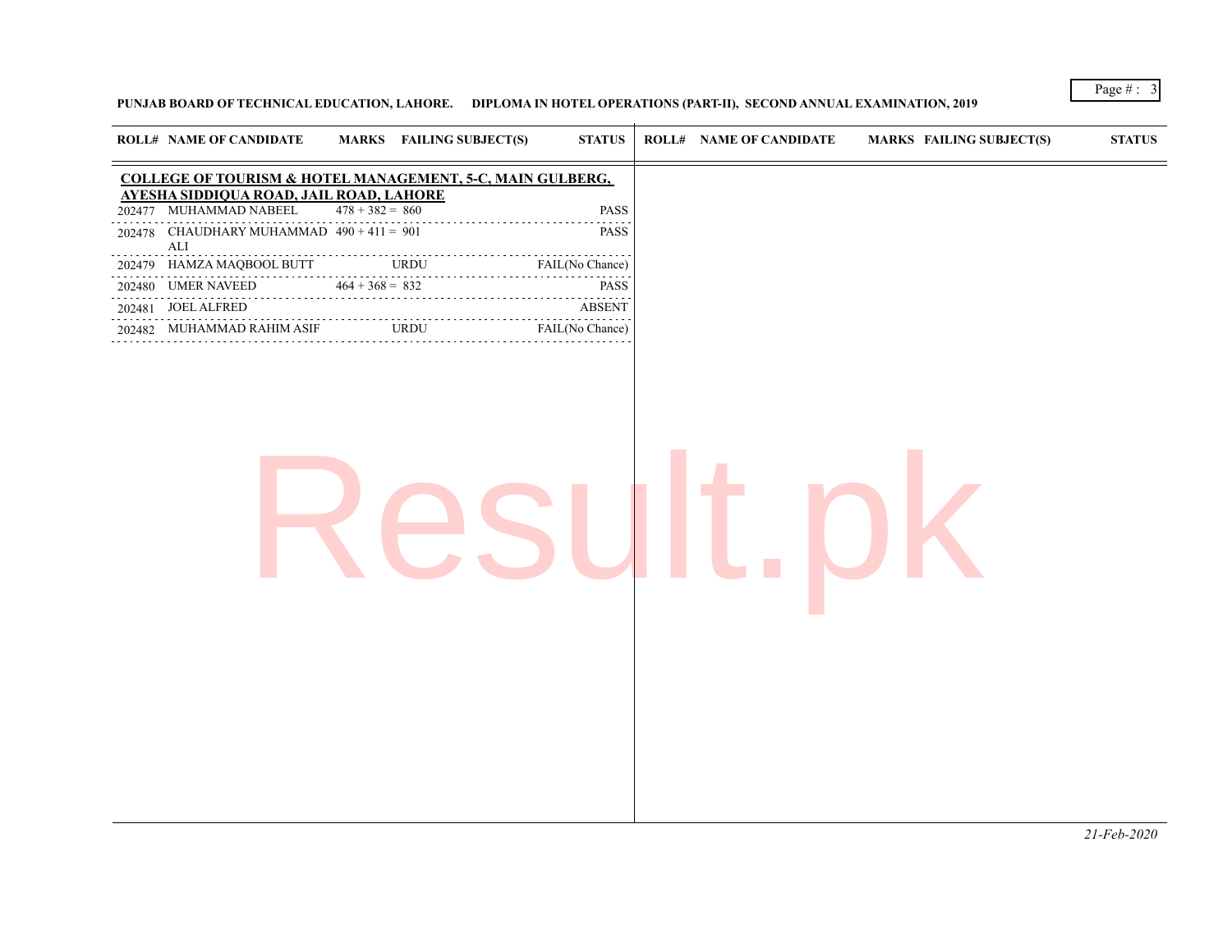## **PUNJAB BOARD OF TECHNICAL EDUCATION, LAHORE. DIPLOMA IN HOTEL OPERATIONS (PART-II), SECOND ANNUAL EXAMINATION, 2019**

Page #:  $3$